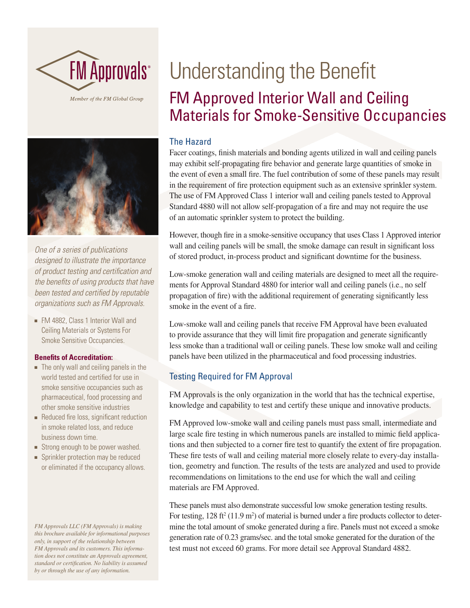

Member of the FM Global Group



*One of a series of publications designed to illustrate the importance of product testing and certification and the benefits of using products that have been tested and certified by reputable organizations such as FM Approvals.*

• FM 4882, Class 1 Interior Wall and Ceiling Materials or Systems For Smoke Sensitive Occupancies.

#### **Benefits of Accreditation:**

- $\blacksquare$  The only wall and ceiling panels in the world tested and certified for use in smoke sensitive occupancies such as pharmaceutical, food processing and other smoke sensitive industries
- **-** Reduced fire loss, significant reduction in smoke related loss, and reduce business down time.
- **EXTERGH** Strong enough to be power washed.
- **n** Sprinkler protection may be reduced or eliminated if the occupancy allows.

*FM Approvals LLC (FM Approvals) is making this brochure available for informational purposes only, in support of the relationship between FM Approvals and its customers. This information does not constitute an Approvals agreement, standard or certification. No liability is assumed by or through the use of any information.*

# Understanding the Benefit FM Approved Interior Wall and Ceiling Materials for Smoke-Sensitive Occupancies

## The Hazard

Facer coatings, finish materials and bonding agents utilized in wall and ceiling panels may exhibit self-propagating fire behavior and generate large quantities of smoke in the event of even a small fire. The fuel contribution of some of these panels may result in the requirement of fire protection equipment such as an extensive sprinkler system. The use of FM Approved Class 1 interior wall and ceiling panels tested to Approval Standard 4880 will not allow self-propagation of a fire and may not require the use of an automatic sprinkler system to protect the building.

However, though fire in a smoke-sensitive occupancy that uses Class 1 Approved interior wall and ceiling panels will be small, the smoke damage can result in significant loss of stored product, in-process product and significant downtime for the business.

Low-smoke generation wall and ceiling materials are designed to meet all the requirements for Approval Standard 4880 for interior wall and ceiling panels (i.e., no self propagation of fire) with the additional requirement of generating significantly less smoke in the event of a fire.

Low-smoke wall and ceiling panels that receive FM Approval have been evaluated to provide assurance that they will limit fire propagation and generate significantly less smoke than a traditional wall or ceiling panels. These low smoke wall and ceiling panels have been utilized in the pharmaceutical and food processing industries.

# Testing Required for FM Approval

FM Approvals is the only organization in the world that has the technical expertise, knowledge and capability to test and certify these unique and innovative products.

FM Approved low-smoke wall and ceiling panels must pass small, intermediate and large scale fire testing in which numerous panels are installed to mimic field applications and then subjected to a corner fire test to quantify the extent of fire propagation. These fire tests of wall and ceiling material more closely relate to every-day installation, geometry and function. The results of the tests are analyzed and used to provide recommendations on limitations to the end use for which the wall and ceiling materials are FM Approved.

These panels must also demonstrate successful low smoke generation testing results. For testing,  $128 \text{ ft}^2 (11.9 \text{ m}^2)$  of material is burned under a fire products collector to determine the total amount of smoke generated during a fire. Panels must not exceed a smoke generation rate of 0.23 grams/sec. and the total smoke generated for the duration of the test must not exceed 60 grams. For more detail see Approval Standard 4882.